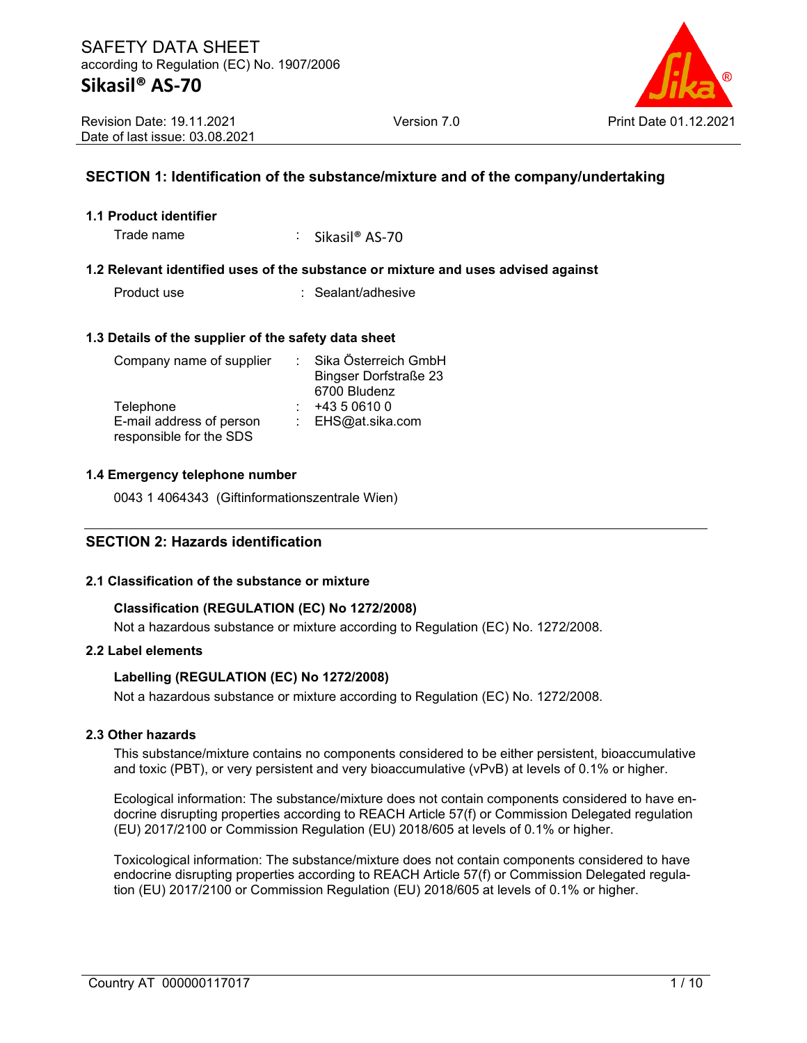

# **SECTION 1: Identification of the substance/mixture and of the company/undertaking**

#### **1.1 Product identifier**

Trade name : Sikasil<sup>®</sup> AS-70

#### **1.2 Relevant identified uses of the substance or mixture and uses advised against**

Product use : Sealant/adhesive

#### **1.3 Details of the supplier of the safety data sheet**

| Company name of supplier | Sika Österreich GmbH         |
|--------------------------|------------------------------|
|                          | <b>Bingser Dorfstraße 23</b> |
|                          | 6700 Bludenz                 |
| Telephone                | +43 5 0610 0                 |
| E-mail address of person | : $EHS@at.sika.com$          |
| responsible for the SDS  |                              |

#### **1.4 Emergency telephone number**

0043 1 4064343 (Giftinformationszentrale Wien)

#### **SECTION 2: Hazards identification**

#### **2.1 Classification of the substance or mixture**

#### **Classification (REGULATION (EC) No 1272/2008)**

Not a hazardous substance or mixture according to Regulation (EC) No. 1272/2008.

#### **2.2 Label elements**

#### **Labelling (REGULATION (EC) No 1272/2008)**

Not a hazardous substance or mixture according to Regulation (EC) No. 1272/2008.

#### **2.3 Other hazards**

This substance/mixture contains no components considered to be either persistent, bioaccumulative and toxic (PBT), or very persistent and very bioaccumulative (vPvB) at levels of 0.1% or higher.

Ecological information: The substance/mixture does not contain components considered to have endocrine disrupting properties according to REACH Article 57(f) or Commission Delegated regulation (EU) 2017/2100 or Commission Regulation (EU) 2018/605 at levels of 0.1% or higher.

Toxicological information: The substance/mixture does not contain components considered to have endocrine disrupting properties according to REACH Article 57(f) or Commission Delegated regulation (EU) 2017/2100 or Commission Regulation (EU) 2018/605 at levels of 0.1% or higher.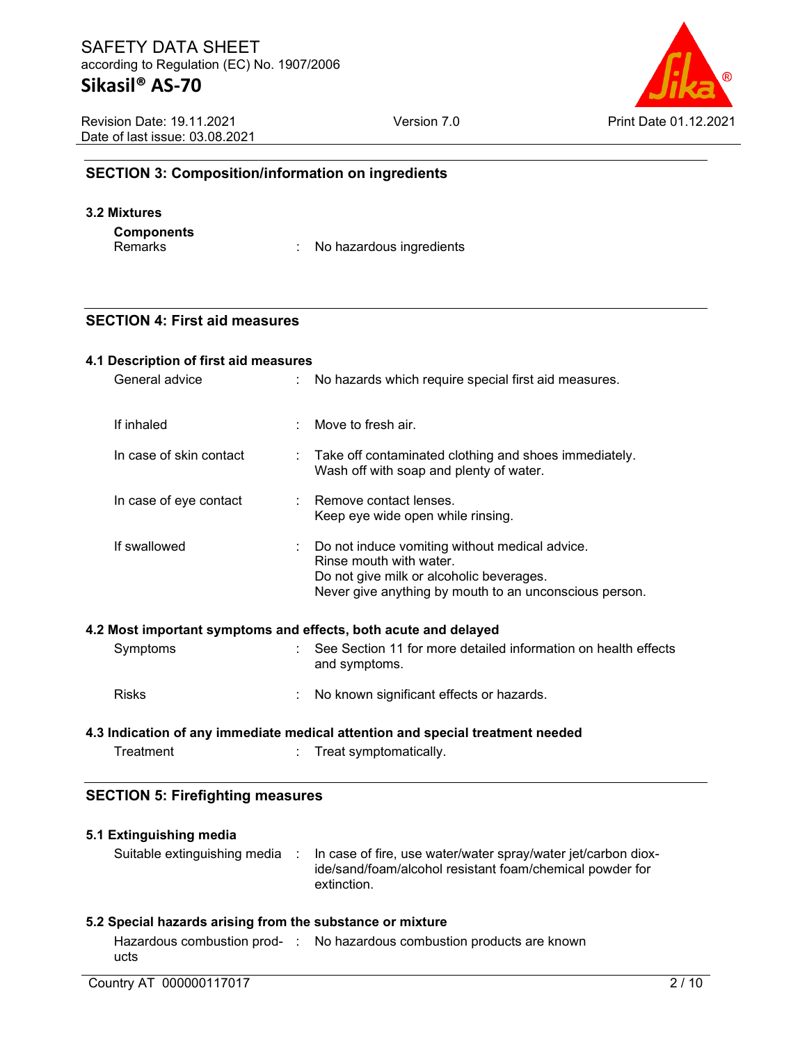| ®                     |
|-----------------------|
| Print Date 01.12.2021 |

| <b>Revision Date: 19.11.2021</b> |
|----------------------------------|
| Date of last issue: 03.08.2021   |

Version 7.0 Print Date 01.12.2021

# **SECTION 3: Composition/information on ingredients**

#### **3.2 Mixtures**

**Components**

: No hazardous ingredients

# **SECTION 4: First aid measures**

| General advice          | No hazards which require special first aid measures.                                                                                                                              |
|-------------------------|-----------------------------------------------------------------------------------------------------------------------------------------------------------------------------------|
|                         |                                                                                                                                                                                   |
| If inhaled              | $\therefore$ Move to fresh air.                                                                                                                                                   |
| In case of skin contact | : Take off contaminated clothing and shoes immediately.<br>Wash off with soap and plenty of water.                                                                                |
| In case of eye contact  | : Remove contact lenses.<br>Keep eye wide open while rinsing.                                                                                                                     |
| If swallowed            | : Do not induce vomiting without medical advice.<br>Rinse mouth with water.<br>Do not give milk or alcoholic beverages.<br>Never give anything by mouth to an unconscious person. |

| Symptoms     | : See Section 11 for more detailed information on health effects<br>and symptoms. |
|--------------|-----------------------------------------------------------------------------------|
| <b>Risks</b> | No known significant effects or hazards.                                          |

# **4.3 Indication of any immediate medical attention and special treatment needed**

Treatment : Treat symptomatically.

# **SECTION 5: Firefighting measures**

| 5.1 Extinguishing media<br>Suitable extinguishing media : | In case of fire, use water/water spray/water jet/carbon diox-<br>ide/sand/foam/alcohol resistant foam/chemical powder for |
|-----------------------------------------------------------|---------------------------------------------------------------------------------------------------------------------------|
| 5.2 Special hazards arising from the substance or mixture | extinction.                                                                                                               |
| ucts                                                      | Hazardous combustion prod- : No hazardous combustion products are known                                                   |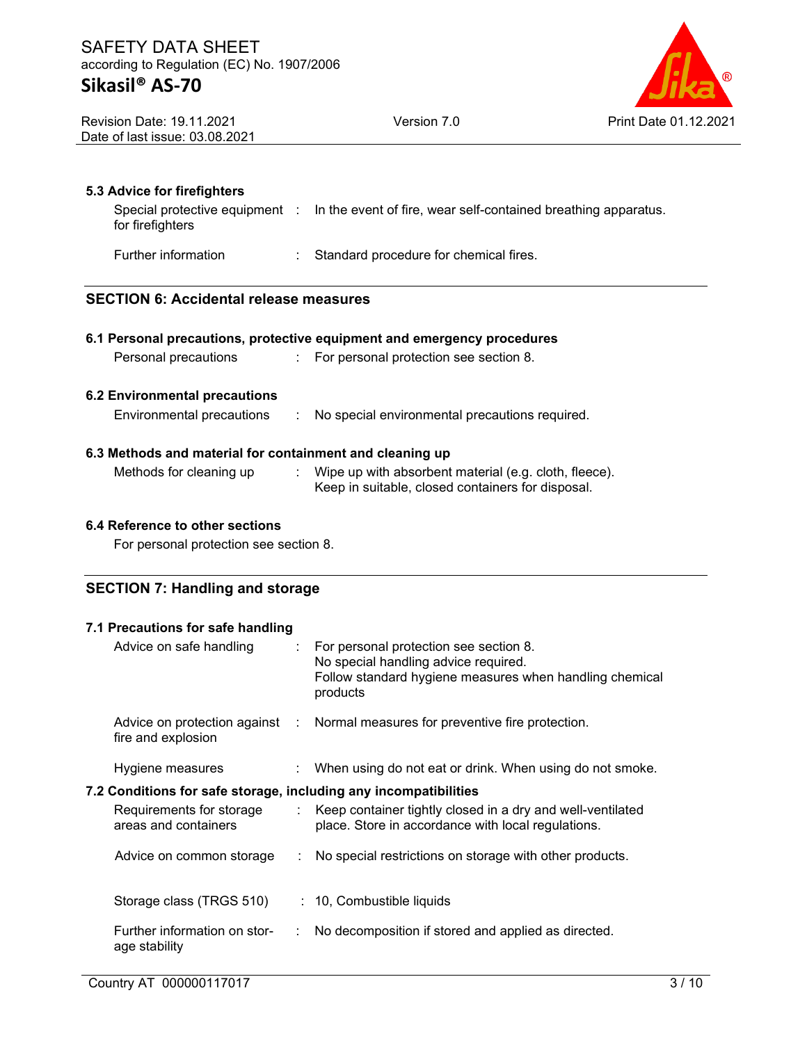

| <b>Revision Date: 19.11.2021</b> |  |
|----------------------------------|--|
| Date of last issue: 03.08.2021   |  |

### **5.3 Advice for firefighters**

|                  | Special protective equipment : In the event of fire, wear self-contained breathing apparatus. |
|------------------|-----------------------------------------------------------------------------------------------|
| for firefighters |                                                                                               |
|                  |                                                                                               |

Further information : Standard procedure for chemical fires.

# **SECTION 6: Accidental release measures**

| Personal precautions                                                                  | 6.1 Personal precautions, protective equipment and emergency procedures<br>: For personal protection see section 8. |
|---------------------------------------------------------------------------------------|---------------------------------------------------------------------------------------------------------------------|
| 6.2 Environmental precautions                                                         |                                                                                                                     |
| Environmental precautions<br>6.3 Methods and material for containment and cleaning up | : No special environmental precautions required.                                                                    |
| Methods for cleaning up                                                               | Wipe up with absorbent material (e.g. cloth, fleece).                                                               |
|                                                                                       | Keep in suitable, closed containers for disposal.                                                                   |

# **6.4 Reference to other sections**

For personal protection see section 8.

# **SECTION 7: Handling and storage**

# **7.1 Precautions for safe handling** Advice on safe handling : For personal protection see section 8. No special handling advice required. Follow standard hygiene measures when handling chemical products Advice on protection against : fire and explosion : Normal measures for preventive fire protection. Hygiene measures : When using do not eat or drink. When using do not smoke. **7.2 Conditions for safe storage, including any incompatibilities** Requirements for storage areas and containers : Keep container tightly closed in a dry and well-ventilated place. Store in accordance with local regulations. Advice on common storage : No special restrictions on storage with other products. Storage class (TRGS 510) : 10, Combustible liquids Further information on storage stability : No decomposition if stored and applied as directed.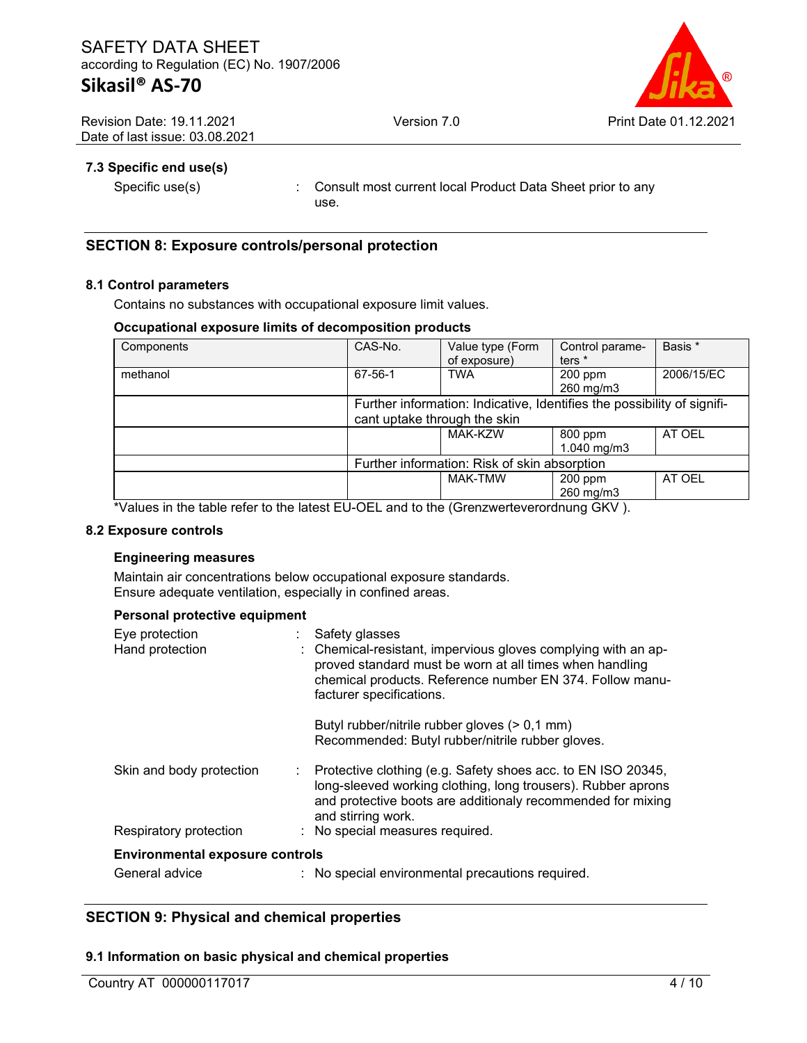

Revision Date: 19.11.2021 Date of last issue: 03.08.2021

# **7.3 Specific end use(s)**

Specific use(s) : Consult most current local Product Data Sheet prior to any use.

### **SECTION 8: Exposure controls/personal protection**

#### **8.1 Control parameters**

Contains no substances with occupational exposure limit values.

#### **Occupational exposure limits of decomposition products**

| Components | CAS-No.                                      | Value type (Form                                                        | Control parame-          | Basis *    |
|------------|----------------------------------------------|-------------------------------------------------------------------------|--------------------------|------------|
|            |                                              | of exposure)                                                            | ters <sup>*</sup>        |            |
| methanol   | 67-56-1                                      | <b>TWA</b>                                                              | 200 ppm                  | 2006/15/EC |
|            |                                              |                                                                         | 260 mg/m3                |            |
|            |                                              | Further information: Indicative, Identifies the possibility of signifi- |                          |            |
|            | cant uptake through the skin                 |                                                                         |                          |            |
|            |                                              | <b>MAK-KZW</b>                                                          | 800 ppm                  | AT OEL     |
|            |                                              |                                                                         | $1.040 \,\mathrm{mq/m3}$ |            |
|            | Further information: Risk of skin absorption |                                                                         |                          |            |
|            |                                              | <b>MAK-TMW</b>                                                          | 200 ppm                  | AT OEL     |
|            |                                              |                                                                         | 260 mg/m3                |            |

\*Values in the table refer to the latest EU-OEL and to the (Grenzwerteverordnung GKV ).

#### **8.2 Exposure controls**

#### **Engineering measures**

Maintain air concentrations below occupational exposure standards. Ensure adequate ventilation, especially in confined areas.

#### **Personal protective equipment**

| Eye protection<br>Hand protection      | Safety glasses<br>: Chemical-resistant, impervious gloves complying with an ap-<br>proved standard must be worn at all times when handling<br>chemical products. Reference number EN 374. Follow manu-<br>facturer specifications. |
|----------------------------------------|------------------------------------------------------------------------------------------------------------------------------------------------------------------------------------------------------------------------------------|
|                                        | Butyl rubber/nitrile rubber gloves (> 0,1 mm)<br>Recommended: Butyl rubber/nitrile rubber gloves.                                                                                                                                  |
| Skin and body protection               | Protective clothing (e.g. Safety shoes acc. to EN ISO 20345,<br>long-sleeved working clothing, long trousers). Rubber aprons<br>and protective boots are additionaly recommended for mixing<br>and stirring work.                  |
| Respiratory protection                 | : No special measures required.                                                                                                                                                                                                    |
| <b>Environmental exposure controls</b> |                                                                                                                                                                                                                                    |
| General advice                         | : No special environmental precautions required.                                                                                                                                                                                   |

# **SECTION 9: Physical and chemical properties**

#### **9.1 Information on basic physical and chemical properties**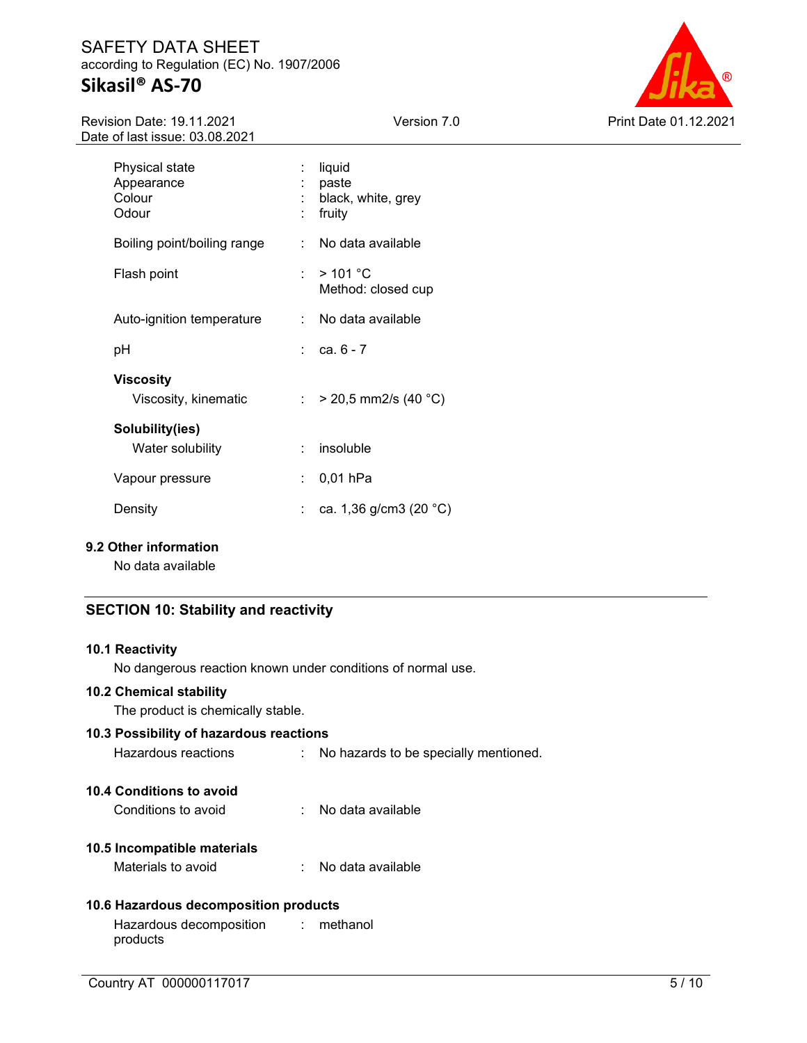# SAFETY DATA SHEET according to Regulation (EC) No. 1907/2006 **Sikasil® AS-70**



Revision Date: 19.11.2021 Date of last issue: 03.08.2021

| Physical state<br>Appearance<br>Colour<br>Odour | liquid<br>paste<br>black, white, grey<br>fruity |
|-------------------------------------------------|-------------------------------------------------|
| Boiling point/boiling range                     | No data available                               |
| Flash point                                     | > 101 °C<br>Method: closed cup                  |
| Auto-ignition temperature                       | :  No data available                            |
| рH                                              | $rac{1}{2}$ ca. 6 - 7                           |
| Viscosity<br>Viscosity, kinematic               | $>$ 20,5 mm2/s (40 °C)                          |
| Solubility(ies)<br>Water solubility             | insoluble                                       |
| Vapour pressure                                 | $0,01$ hPa                                      |
| Density                                         | ca. 1,36 g/cm3 (20 °C)                          |
|                                                 |                                                 |

#### **9.2 Other information**

No data available

# **SECTION 10: Stability and reactivity**

#### **10.1 Reactivity**

No dangerous reaction known under conditions of normal use.

#### **10.2 Chemical stability**

The product is chemically stable.

| 10.3 Possibility of hazardous reactions |                                         |
|-----------------------------------------|-----------------------------------------|
| Hazardous reactions                     | : No hazards to be specially mentioned. |
| 10.4 Conditions to avoid                |                                         |
| Conditions to avoid                     | : No data available                     |

# **10.5 Incompatible materials**

#### **10.6 Hazardous decomposition products**

Hazardous decomposition products : methanol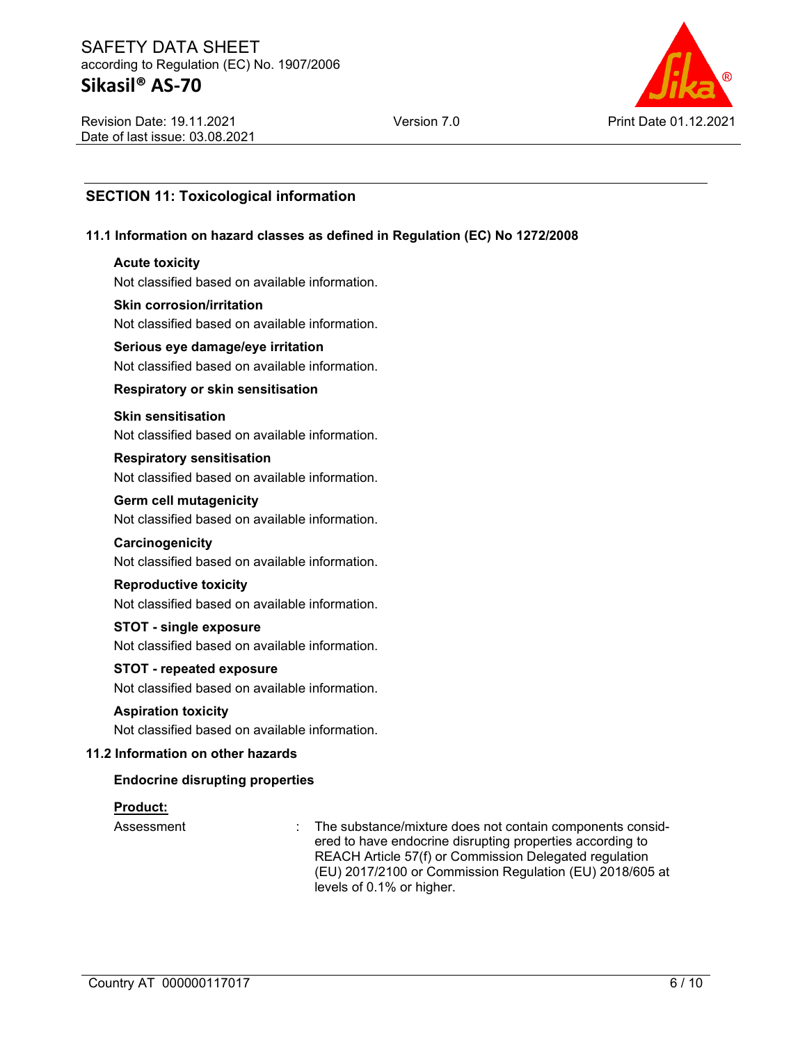# SAFETY DATA SHEET according to Regulation (EC) No. 1907/2006 **Sikasil® AS-70**



Revision Date: 19.11.2021 Date of last issue: 03.08.2021

# **SECTION 11: Toxicological information**

#### **11.1 Information on hazard classes as defined in Regulation (EC) No 1272/2008**

#### **Acute toxicity**

Not classified based on available information.

#### **Skin corrosion/irritation**

Not classified based on available information.

#### **Serious eye damage/eye irritation**

Not classified based on available information.

#### **Respiratory or skin sensitisation**

# **Skin sensitisation**

Not classified based on available information.

# **Respiratory sensitisation**

Not classified based on available information.

#### **Germ cell mutagenicity**

Not classified based on available information.

#### **Carcinogenicity** Not classified based on available information.

# **Reproductive toxicity**

Not classified based on available information.

#### **STOT - single exposure**

Not classified based on available information.

#### **STOT - repeated exposure**

Not classified based on available information.

#### **Aspiration toxicity** Not classified based on available information.

#### **11.2 Information on other hazards**

#### **Endocrine disrupting properties**

#### **Product:**

Assessment : The substance/mixture does not contain components considered to have endocrine disrupting properties according to REACH Article 57(f) or Commission Delegated regulation (EU) 2017/2100 or Commission Regulation (EU) 2018/605 at levels of 0.1% or higher.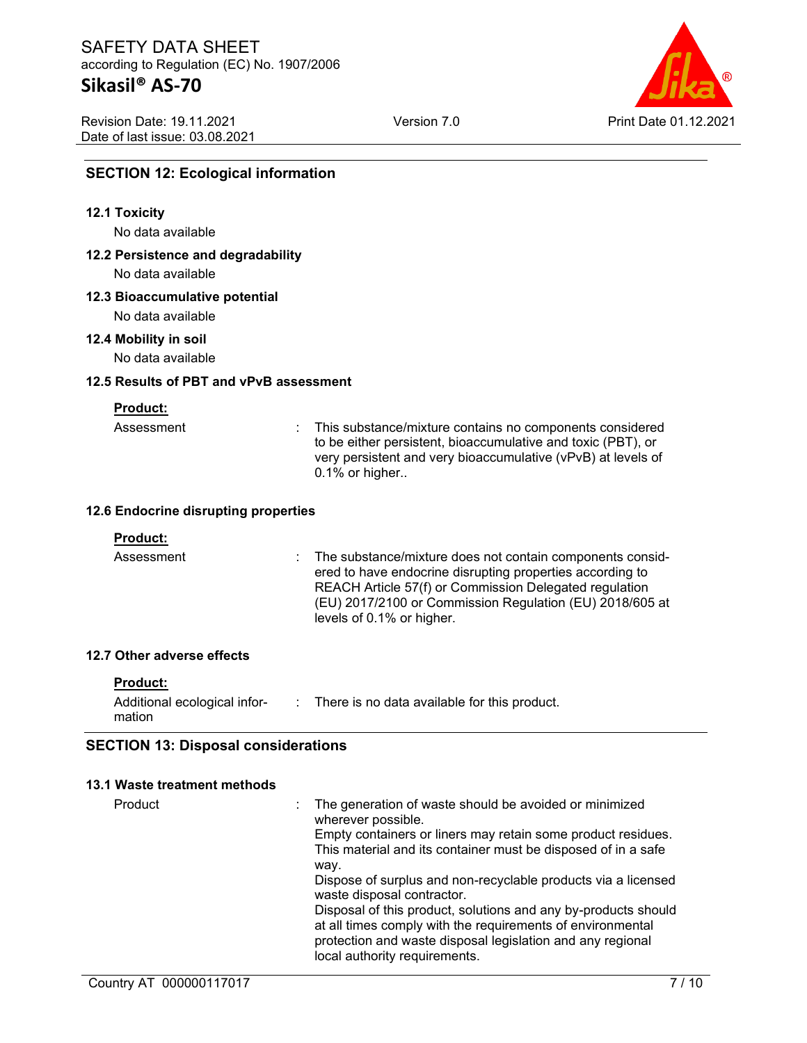# **Sikasil® AS-70**

Version 7.0 Print Date 01.12.2021

Revision Date: 19.11.2021 Date of last issue: 03.08.2021

# **SECTION 12: Ecological information**

#### **12.1 Toxicity**

No data available

# **12.2 Persistence and degradability**

No data available

#### **12.3 Bioaccumulative potential**

No data available

#### **12.4 Mobility in soil**

No data available

#### **12.5 Results of PBT and vPvB assessment**

**Product:**

| Assessment |  |
|------------|--|

: This substance/mixture contains no components considered to be either persistent, bioaccumulative and toxic (PBT), or very persistent and very bioaccumulative (vPvB) at levels of 0.1% or higher..

#### **12.6 Endocrine disrupting properties**

#### **Product:**

Assessment : The substance/mixture does not contain components considered to have endocrine disrupting properties according to REACH Article 57(f) or Commission Delegated regulation (EU) 2017/2100 or Commission Regulation (EU) 2018/605 at levels of 0.1% or higher.

#### **12.7 Other adverse effects**

#### **Product:**

| Additional ecological infor- | There is no data available for this product. |
|------------------------------|----------------------------------------------|
| mation                       |                                              |

#### **SECTION 13: Disposal considerations**

#### **13.1 Waste treatment methods**

| Product | The generation of waste should be avoided or minimized<br>wherever possible.                |
|---------|---------------------------------------------------------------------------------------------|
|         | Empty containers or liners may retain some product residues.                                |
|         | This material and its container must be disposed of in a safe                               |
|         | way.                                                                                        |
|         | Dispose of surplus and non-recyclable products via a licensed<br>waste disposal contractor. |
|         | Disposal of this product, solutions and any by-products should                              |
|         | at all times comply with the requirements of environmental                                  |
|         | protection and waste disposal legislation and any regional                                  |
|         | local authority requirements.                                                               |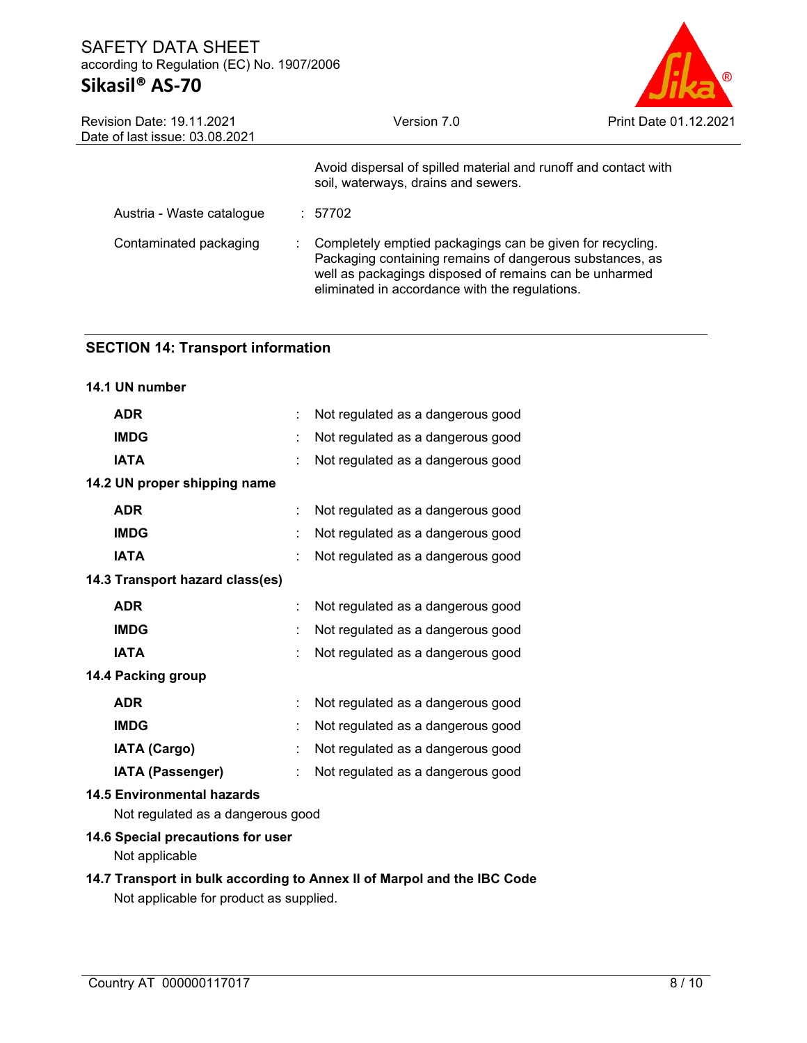# SAFETY DATA SHEET according to Regulation (EC) No. 1907/2006 **Sikasil® AS-70**



| Revision Date: 19.11.2021<br>Date of last issue: 03.08.2021 | Version 7.0                                                                                                                                                                                                                       | Print Date 01.12.2021 |
|-------------------------------------------------------------|-----------------------------------------------------------------------------------------------------------------------------------------------------------------------------------------------------------------------------------|-----------------------|
|                                                             | Avoid dispersal of spilled material and runoff and contact with<br>soil, waterways, drains and sewers.                                                                                                                            |                       |
| Austria - Waste catalogue                                   | : 57702                                                                                                                                                                                                                           |                       |
| Contaminated packaging                                      | Completely emptied packagings can be given for recycling.<br>Packaging containing remains of dangerous substances, as<br>well as packagings disposed of remains can be unharmed<br>eliminated in accordance with the regulations. |                       |

# **SECTION 14: Transport information**

| 14.1 UN number                                                         |   |                                   |
|------------------------------------------------------------------------|---|-----------------------------------|
| <b>ADR</b>                                                             | ÷ | Not regulated as a dangerous good |
| <b>IMDG</b>                                                            |   | Not regulated as a dangerous good |
| <b>IATA</b>                                                            |   | Not regulated as a dangerous good |
| 14.2 UN proper shipping name                                           |   |                                   |
| <b>ADR</b>                                                             |   | Not regulated as a dangerous good |
| <b>IMDG</b>                                                            |   | Not regulated as a dangerous good |
| <b>IATA</b>                                                            |   | Not regulated as a dangerous good |
| 14.3 Transport hazard class(es)                                        |   |                                   |
| <b>ADR</b>                                                             | ÷ | Not regulated as a dangerous good |
| <b>IMDG</b>                                                            |   | Not regulated as a dangerous good |
| <b>IATA</b>                                                            |   | Not regulated as a dangerous good |
| 14.4 Packing group                                                     |   |                                   |
| <b>ADR</b>                                                             |   | Not regulated as a dangerous good |
| <b>IMDG</b>                                                            |   | Not regulated as a dangerous good |
| <b>IATA (Cargo)</b>                                                    | t | Not regulated as a dangerous good |
| <b>IATA (Passenger)</b>                                                |   | Not regulated as a dangerous good |
| <b>14.5 Environmental hazards</b><br>Not regulated as a dangerous good |   |                                   |
| 14.6 Special precautions for user                                      |   |                                   |

Not applicable

# **14.7 Transport in bulk according to Annex II of Marpol and the IBC Code** Not applicable for product as supplied.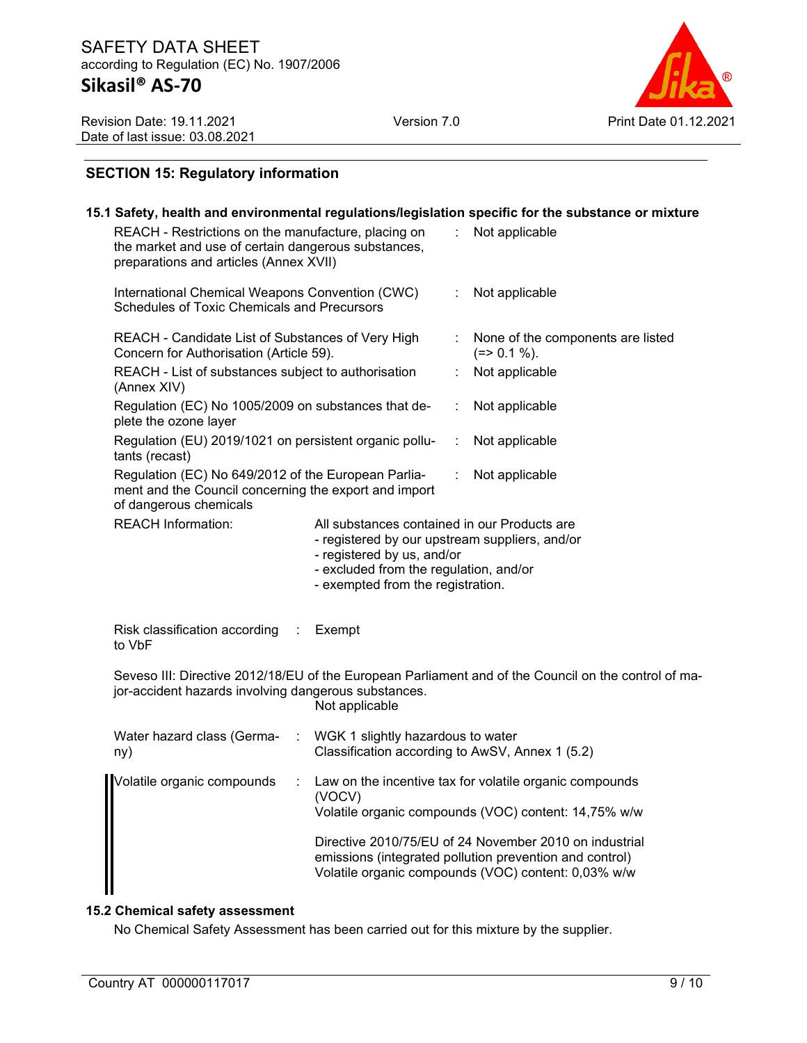

Revision Date: 19.11.2021 Date of last issue: 03.08.2021

# **SECTION 15: Regulatory information**

#### **15.1 Safety, health and environmental regulations/legislation specific for the substance or mixture** REACH - Restrictions on the manufacture, placing on the market and use of certain dangerous substances, preparations and articles (Annex XVII) : Not applicable International Chemical Weapons Convention (CWC) Schedules of Toxic Chemicals and Precursors Not applicable REACH - Candidate List of Substances of Very High Concern for Authorisation (Article 59). None of the components are listed  $(=> 0.1 \%)$ . REACH - List of substances subject to authorisation (Annex XIV) Not applicable Regulation (EC) No 1005/2009 on substances that deplete the ozone layer : Not applicable Regulation (EU) 2019/1021 on persistent organic pollutants (recast) Not applicable Regulation (EC) No 649/2012 of the European Parliament and the Council concerning the export and import of dangerous chemicals : Not applicable REACH Information: All substances contained in our Products are - registered by our upstream suppliers, and/or - registered by us, and/or - excluded from the regulation, and/or - exempted from the registration. Risk classification according to VbF **Exempt** Seveso III: Directive 2012/18/EU of the European Parliament and of the Council on the control of major-accident hazards involving dangerous substances. Not applicable Water hazard class (Germany) : WGK 1 slightly hazardous to water Classification according to AwSV, Annex 1 (5.2) Volatile organic compounds : Law on the incentive tax for volatile organic compounds (VOCV) Volatile organic compounds (VOC) content: 14,75% w/w Directive 2010/75/EU of 24 November 2010 on industrial emissions (integrated pollution prevention and control) Volatile organic compounds (VOC) content: 0,03% w/w

#### **15.2 Chemical safety assessment**

No Chemical Safety Assessment has been carried out for this mixture by the supplier.